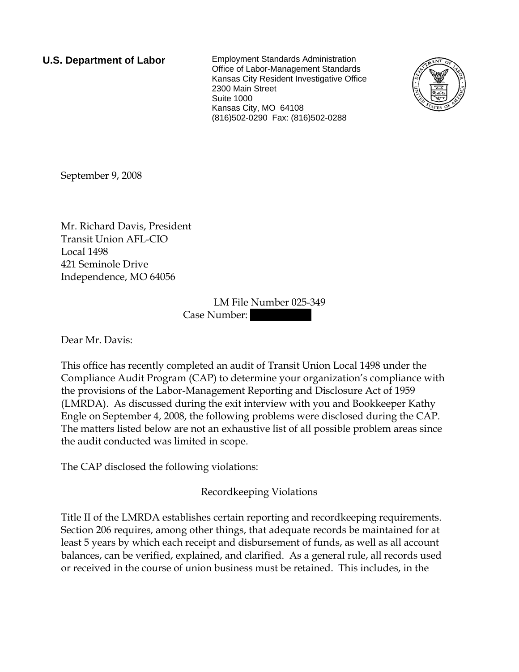**U.S. Department of Labor** Employment Standards Administration Office of Labor-Management Standards Kansas City Resident Investigative Office 2300 Main Street Suite 1000 Kansas City, MO 64108 (816)502-0290 Fax: (816)502-0288



September 9, 2008

Mr. Richard Davis, President Transit Union AFL-CIO Local 1498 421 Seminole Drive Independence, MO 64056

> LM File Number 025-349 Case Number:

Dear Mr. Davis:

This office has recently completed an audit of Transit Union Local 1498 under the Compliance Audit Program (CAP) to determine your organization's compliance with the provisions of the Labor-Management Reporting and Disclosure Act of 1959 (LMRDA). As discussed during the exit interview with you and Bookkeeper Kathy Engle on September 4, 2008, the following problems were disclosed during the CAP. The matters listed below are not an exhaustive list of all possible problem areas since the audit conducted was limited in scope.

The CAP disclosed the following violations:

Recordkeeping Violations

Title II of the LMRDA establishes certain reporting and recordkeeping requirements. Section 206 requires, among other things, that adequate records be maintained for at least 5 years by which each receipt and disbursement of funds, as well as all account balances, can be verified, explained, and clarified. As a general rule, all records used or received in the course of union business must be retained. This includes, in the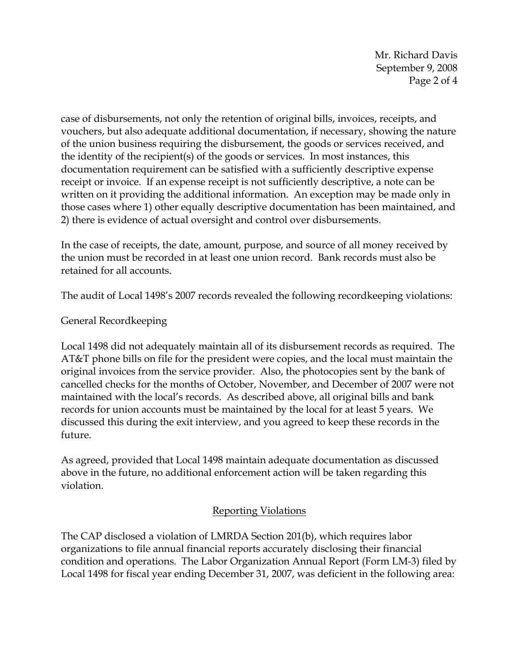Mr. Richard Davis September 9, 2008 Page 2 of 4

case of disbursements, not only the retention of original bills, invoices, receipts, and vouchers, but also adequate additional documentation, if necessary, showing the nature of the union business requiring the disbursement, the goods or services received, and the identity of the recipient(s) of the goods or services. In most instances, this documentation requirement can be satisfied with a sufficiently descriptive expense receipt or invoice. If an expense receipt is not sufficiently descriptive, a note can be written on it providing the additional information. An exception may be made only in those cases where 1) other equally descriptive documentation has been maintained, and 2) there is evidence of actual oversight and control over disbursements.

In the case of receipts, the date, amount, purpose, and source of all money received by the union must be recorded in at least one union record. Bank records must also be retained for all accounts.

The audit of Local 1498's 2007 records revealed the following recordkeeping violations:

## General Recordkeeping

Local 1498 did not adequately maintain all of its disbursement records as required. The AT&T phone bills on file for the president were copies, and the local must maintain the original invoices from the service provider. Also, the photocopies sent by the bank of cancelled checks for the months of October, November, and December of 2007 were not maintained with the local's records. As described above, all original bills and bank records for union accounts must be maintained by the local for at least 5 years. We discussed this during the exit interview, and you agreed to keep these records in the future.

As agreed, provided that Local 1498 maintain adequate documentation as discussed above in the future, no additional enforcement action will be taken regarding this violation.

## Reporting Violations

The CAP disclosed a violation of LMRDA Section 201(b), which requires labor organizations to file annual financial reports accurately disclosing their financial condition and operations. The Labor Organization Annual Report (Form LM-3) filed by Local 1498 for fiscal year ending December 31, 2007, was deficient in the following area: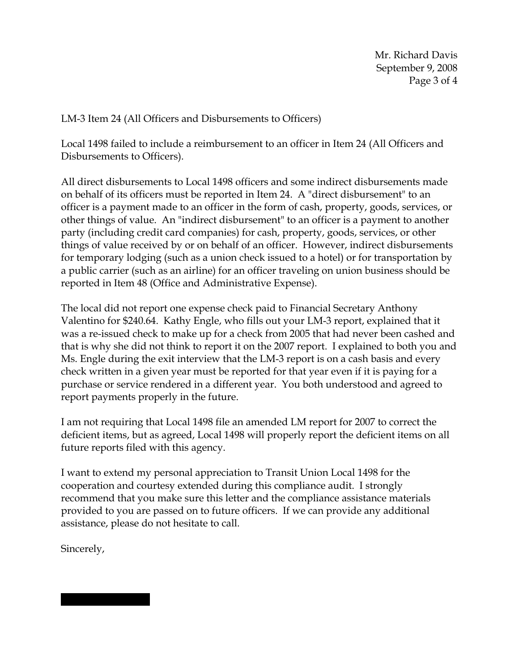LM-3 Item 24 (All Officers and Disbursements to Officers)

Local 1498 failed to include a reimbursement to an officer in Item 24 (All Officers and Disbursements to Officers).

All direct disbursements to Local 1498 officers and some indirect disbursements made on behalf of its officers must be reported in Item 24. A "direct disbursement" to an officer is a payment made to an officer in the form of cash, property, goods, services, or other things of value. An "indirect disbursement" to an officer is a payment to another party (including credit card companies) for cash, property, goods, services, or other things of value received by or on behalf of an officer. However, indirect disbursements for temporary lodging (such as a union check issued to a hotel) or for transportation by a public carrier (such as an airline) for an officer traveling on union business should be reported in Item 48 (Office and Administrative Expense).

The local did not report one expense check paid to Financial Secretary Anthony Valentino for \$240.64. Kathy Engle, who fills out your LM-3 report, explained that it was a re-issued check to make up for a check from 2005 that had never been cashed and that is why she did not think to report it on the 2007 report. I explained to both you and Ms. Engle during the exit interview that the LM-3 report is on a cash basis and every check written in a given year must be reported for that year even if it is paying for a purchase or service rendered in a different year. You both understood and agreed to report payments properly in the future.

I am not requiring that Local 1498 file an amended LM report for 2007 to correct the deficient items, but as agreed, Local 1498 will properly report the deficient items on all future reports filed with this agency.

I want to extend my personal appreciation to Transit Union Local 1498 for the cooperation and courtesy extended during this compliance audit. I strongly recommend that you make sure this letter and the compliance assistance materials provided to you are passed on to future officers. If we can provide any additional assistance, please do not hesitate to call.

Sincerely,